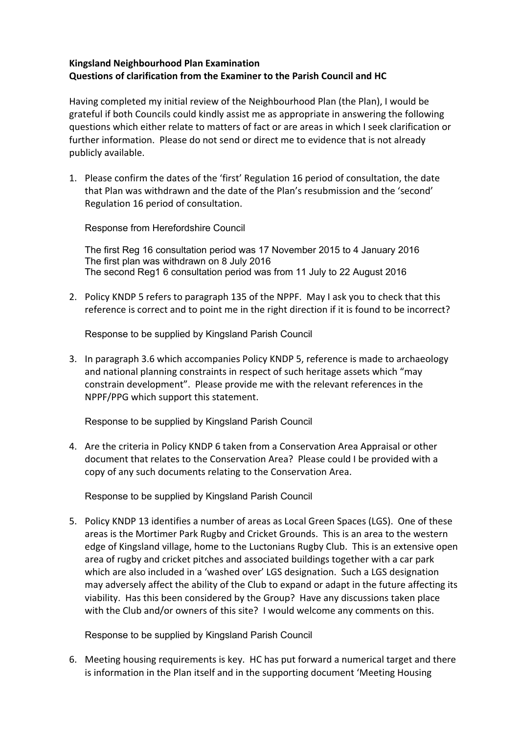## **Kingsland Neighbourhood Plan Examination Questions of clarification from the Examiner to the Parish Council and HC**

 Having completed my initial review of the Neighbourhood Plan (the Plan), I would be grateful if both Councils could kindly assist me as appropriate in answering the following questions which either relate to matters of fact or are areas in which I seek clarification or further information. Please do not send or direct me to evidence that is not already publicly available.

1. Please confirm the dates of the 'first' Regulation 16 period of consultation, the date that Plan was withdrawn and the date of the Plan's resubmission and the 'second' Regulation 16 period of consultation.

Response from Herefordshire Council

The first Reg 16 consultation period was 17 November 2015 to 4 January 2016 The first plan was withdrawn on 8 July 2016 The second Reg1 6 consultation period was from 11 July to 22 August 2016

2. Policy KNDP 5 refers to paragraph 135 of the NPPF. May I ask you to check that this reference is correct and to point me in the right direction if it is found to be incorrect?

Response to be supplied by Kingsland Parish Council

3. In paragraph 3.6 which accompanies Policy KNDP 5, reference is made to archaeology and national planning constraints in respect of such heritage assets which "may constrain development". Please provide me with the relevant references in the NPPF/PPG which support this statement.

Response to be supplied by Kingsland Parish Council

4. Are the criteria in Policy KNDP 6 taken from a Conservation Area Appraisal or other document that relates to the Conservation Area? Please could I be provided with a copy of any such documents relating to the Conservation Area.

Response to be supplied by Kingsland Parish Council

5. Policy KNDP 13 identifies a number of areas as Local Green Spaces (LGS). One of these areas is the Mortimer Park Rugby and Cricket Grounds. This is an area to the western edge of Kingsland village, home to the Luctonians Rugby Club. This is an extensive open area of rugby and cricket pitches and associated buildings together with a car park which are also included in a 'washed over' LGS designation. Such a LGS designation may adversely affect the ability of the Club to expand or adapt in the future affecting its viability. Has this been considered by the Group? Have any discussions taken place with the Club and/or owners of this site? I would welcome any comments on this.

Response to be supplied by Kingsland Parish Council

6. Meeting housing requirements is key. HC has put forward a numerical target and there is information in the Plan itself and in the supporting document 'Meeting Housing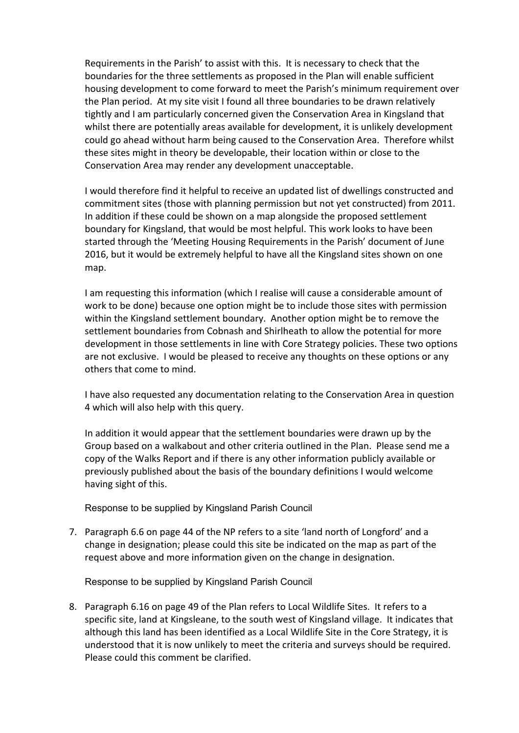Requirements in the Parish' to assist with this. It is necessary to check that the boundaries for the three settlements as proposed in the Plan will enable sufficient housing development to come forward to meet the Parish's minimum requirement over the Plan period. At my site visit I found all three boundaries to be drawn relatively tightly and I am particularly concerned given the Conservation Area in Kingsland that whilst there are potentially areas available for development, it is unlikely development could go ahead without harm being caused to the Conservation Area. Therefore whilst these sites might in theory be developable, their location within or close to the Conservation Area may render any development unacceptable.

 I would therefore find it helpful to receive an updated list of dwellings constructed and commitment sites (those with planning permission but not yet constructed) from 2011. In addition if these could be shown on a map alongside the proposed settlement boundary for Kingsland, that would be most helpful. This work looks to have been started through the 'Meeting Housing Requirements in the Parish' document of June 2016, but it would be extremely helpful to have all the Kingsland sites shown on one map.

 I am requesting this information (which I realise will cause a considerable amount of work to be done) because one option might be to include those sites with permission within the Kingsland settlement boundary. Another option might be to remove the settlement boundaries from Cobnash and Shirlheath to allow the potential for more development in those settlements in line with Core Strategy policies. These two options are not exclusive. I would be pleased to receive any thoughts on these options or any others that come to mind.

 I have also requested any documentation relating to the Conservation Area in question 4 which will also help with this query.

 In addition it would appear that the settlement boundaries were drawn up by the Group based on a walkabout and other criteria outlined in the Plan. Please send me a copy of the Walks Report and if there is any other information publicly available or previously published about the basis of the boundary definitions I would welcome having sight of this.

Response to be supplied by Kingsland Parish Council

7. Paragraph 6.6 on page 44 of the NP refers to a site 'land north of Longford' and a change in designation; please could this site be indicated on the map as part of the request above and more information given on the change in designation.

Response to be supplied by Kingsland Parish Council

8. Paragraph 6.16 on page 49 of the Plan refers to Local Wildlife Sites. It refers to a specific site, land at Kingsleane, to the south west of Kingsland village. It indicates that although this land has been identified as a Local Wildlife Site in the Core Strategy, it is understood that it is now unlikely to meet the criteria and surveys should be required. Please could this comment be clarified.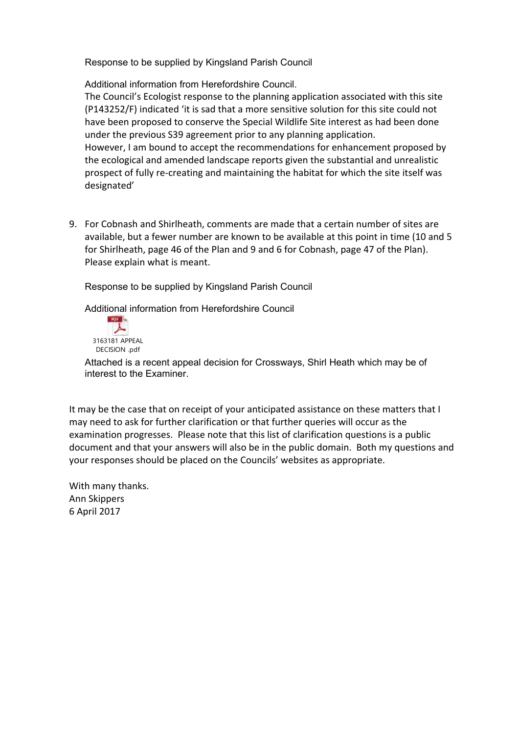Response to be supplied by Kingsland Parish Council

Additional information from Herefordshire Council.

 The Council's Ecologist response to the planning application associated with this site (P143252/F) indicated 'it is sad that a more sensitive solution for this site could not have been proposed to conserve the Special Wildlife Site interest as had been done under the previous S39 agreement prior to any planning application. However, I am bound to accept the recommendations for enhancement proposed by the ecological and amended landscape reports given the substantial and unrealistic prospect of fully re‐creating and maintaining the habitat for which the site itself was designated'

9. For Cobnash and Shirlheath, comments are made that a certain number of sites are available, but a fewer number are known to be available at this point in time (10 and 5 for Shirlheath, page 46 of the Plan and 9 and 6 for Cobnash, page 47 of the Plan). Please explain what is meant.

Response to be supplied by Kingsland Parish Council

Additional information from Herefordshire Council



Attached is a recent appeal decision for Crossways, Shirl Heath which may be of interest to the Examiner.

 It may be the case that on receipt of your anticipated assistance on these matters that I may need to ask for further clarification or that further queries will occur as the examination progresses. Please note that this list of clarification questions is a public document and that your answers will also be in the public domain. Both my questions and your responses should be placed on the Councils' websites as appropriate.

 With many thanks. Ann Skippers 6 April 2017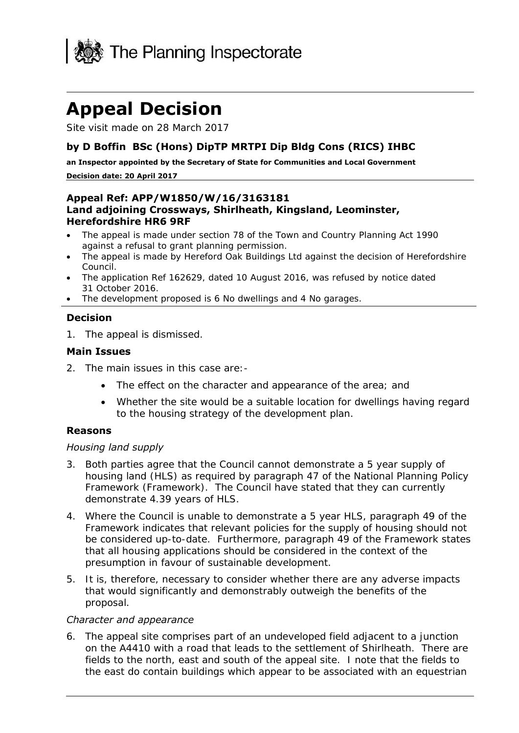

# **Appeal Decision**

Site visit made on 28 March 2017

## **by D Boffin BSc (Hons) DipTP MRTPI Dip Bldg Cons (RICS) IHBC**

 **an Inspector appointed by the Secretary of State for Communities and Local Government Decision date: 20 April 2017** 

#### **Appeal Ref: APP/W1850/W/16/3163181 Land adjoining Crossways, Shirlheath, Kingsland, Leominster, Herefordshire HR6 9RF**

- The appeal is made under section 78 of the Town and Country Planning Act 1990 against a refusal to grant planning permission.
- The appeal is made by Hereford Oak Buildings Ltd against the decision of Herefordshire Council.
- The application Ref 162629, dated 10 August 2016, was refused by notice dated 31 October 2016.
- The development proposed is 6 No dwellings and 4 No garages.

### **Decision**

1. The appeal is dismissed.

#### **Main Issues**

- 2. The main issues in this case are:-
	- The effect on the character and appearance of the area; and
	- Whether the site would be a suitable location for dwellings having regard to the housing strategy of the development plan.

### **Reasons**

#### *Housing land supply*

- 3. Both parties agree that the Council cannot demonstrate a 5 year supply of housing land (HLS) as required by paragraph 47 of the National Planning Policy Framework (Framework). The Council have stated that they can currently demonstrate 4.39 years of HLS.
- 4. Where the Council is unable to demonstrate a 5 year HLS, paragraph 49 of the Framework indicates that relevant policies for the supply of housing should not be considered up-to-date. Furthermore, paragraph 49 of the Framework states that all housing applications should be considered in the context of the presumption in favour of sustainable development.
- presumption in favour of sustainable development. 5. It is, therefore, necessary to consider whether there are any adverse impacts that would significantly and demonstrably outweigh the benefits of the proposal.

#### *Character and appearance*

 6. The appeal site comprises part of an undeveloped field adjacent to a junction on the A4410 with a road that leads to the settlement of Shirlheath. There are fields to the north, east and south of the appeal site. I note that the fields to the east do contain buildings which appear to be associated with an equestrian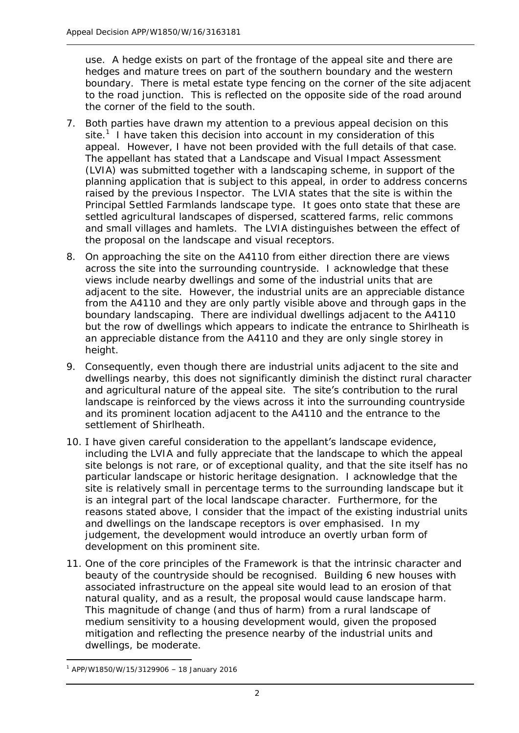use. A hedge exists on part of the frontage of the appeal site and there are hedges and mature trees on part of the southern boundary and the western boundary. There is metal estate type fencing on the corner of the site adjacent to the road junction. This is reflected on the opposite side of the road around the corner of the field to the south.

- 7. Both parties have drawn my attention to a previous appeal decision on this site.<sup>1</sup> I have taken this decision into account in my consideration of this appeal. However, I have not been provided with the full details of that case. The appellant has stated that a Landscape and Visual Impact Assessment (LVIA) was submitted together with a landscaping scheme, in support of the raised by the previous Inspector. The LVIA states that the site is within the Principal Settled Farmlands landscape type. It goes onto state that these are and small villages and hamlets. The LVIA distinguishes between the effect of the proposal on the landscape and visual receptors. planning application that is subject to this appeal, in order to address concerns settled agricultural landscapes of dispersed, scattered farms, relic commons
- the proposal on the landscape and visual receptors.<br>8. On approaching the site on the A4110 from either direction there are views views include nearby dwellings and some of the industrial units that are adjacent to the site. However, the industrial units are an appreciable distance from the A4110 and they are only partly visible above and through gaps in the boundary landscaping. There are individual dwellings adjacent to the A4110 an appreciable distance from the A4110 and they are only single storey in height. across the site into the surrounding countryside. I acknowledge that these but the row of dwellings which appears to indicate the entrance to Shirlheath is
- dwellings nearby, this does not significantly diminish the distinct rural character and agricultural nature of the appeal site. The site's contribution to the rural and its prominent location adjacent to the A4110 and the entrance to the 9. Consequently, even though there are industrial units adjacent to the site and landscape is reinforced by the views across it into the surrounding countryside settlement of Shirlheath.
- including the LVIA and fully appreciate that the landscape to which the appeal site belongs is not rare, or of exceptional quality, and that the site itself has no particular landscape or historic heritage designation. I acknowledge that the site is relatively small in percentage terms to the surrounding landscape but it is an integral part of the local landscape character. Furthermore, for the reasons stated above, I consider that the impact of the existing industrial units and dwellings on the landscape receptors is over emphasised. In my judgement, the development would introduce an overtly urban form of development on this prominent site. 10. I have given careful consideration to the appellant's landscape evidence,
- development on this prominent site.<br>11. One of the core principles of the Framework is that the intrinsic character and beauty of the countryside should be recognised. Building 6 new houses with associated infrastructure on the appeal site would lead to an erosion of that natural quality, and as a result, the proposal would cause landscape harm. This magnitude of change (and thus of harm) from a rural landscape of medium sensitivity to a housing development would, given the proposed mitigation and reflecting the presence nearby of the industrial units and dwellings, be moderate.

-

 $1$  APP/W1850/W/15/3129906 - 18 January 2016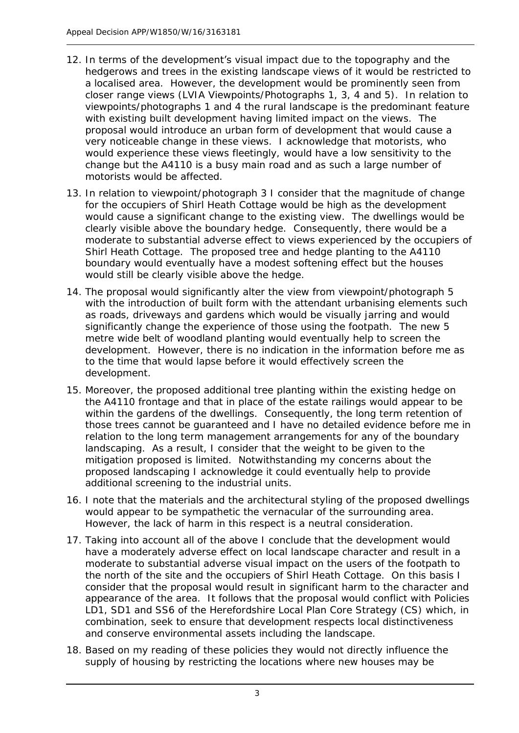- 12. In terms of the development's visual impact due to the topography and the hedgerows and trees in the existing landscape views of it would be restricted to a localised area. However, the development would be prominently seen from closer range views (LVIA Viewpoints/Photographs 1, 3, 4 and 5). In relation to viewpoints/photographs 1 and 4 the rural landscape is the predominant feature with existing built development having limited impact on the views. The proposal would introduce an urban form of development that would cause a very noticeable change in these views. I acknowledge that motorists, who would experience these views fleetingly, would have a low sensitivity to the change but the A4110 is a busy main road and as such a large number of motorists would be affected.
- for the occupiers of Shirl Heath Cottage would be high as the development would cause a significant change to the existing view. The dwellings would be clearly visible above the boundary hedge. Consequently, there would be a moderate to substantial adverse effect to views experienced by the occupiers of Shirl Heath Cottage. The proposed tree and hedge planting to the A4110 boundary would eventually have a modest softening effect but the houses 13. In relation to viewpoint/photograph 3 I consider that the magnitude of change would still be clearly visible above the hedge.
- 14. The proposal would significantly alter the view from viewpoint/photograph 5 with the introduction of built form with the attendant urbanising elements such as roads, driveways and gardens which would be visually jarring and would significantly change the experience of those using the footpath. The new 5 metre wide belt of woodland planting would eventually help to screen the development. However, there is no indication in the information before me as development. to the time that would lapse before it would effectively screen the
- development. 15. Moreover, the proposed additional tree planting within the existing hedge on the A4110 frontage and that in place of the estate railings would appear to be within the gardens of the dwellings. Consequently, the long term retention of those trees cannot be guaranteed and I have no detailed evidence before me in relation to the long term management arrangements for any of the boundary landscaping. As a result, I consider that the weight to be given to the mitigation proposed is limited. Notwithstanding my concerns about the proposed landscaping I acknowledge it could eventually help to provide additional screening to the industrial units.
- would appear to be sympathetic the vernacular of the surrounding area. However, the lack of harm in this respect is a neutral consideration. 16. I note that the materials and the architectural styling of the proposed dwellings
- 17. Taking into account all of the above I conclude that the development would have a moderately adverse effect on local landscape character and result in a the north of the site and the occupiers of Shirl Heath Cottage. On this basis I consider that the proposal would result in significant harm to the character and appearance of the area. It follows that the proposal would conflict with Policies LD1, SD1 and SS6 of the Herefordshire Local Plan Core Strategy (CS) which, in combination, seek to ensure that development respects local distinctiveness moderate to substantial adverse visual impact on the users of the footpath to and conserve environmental assets including the landscape.
- 18. Based on my reading of these policies they would not directly influence the supply of housing by restricting the locations where new houses may be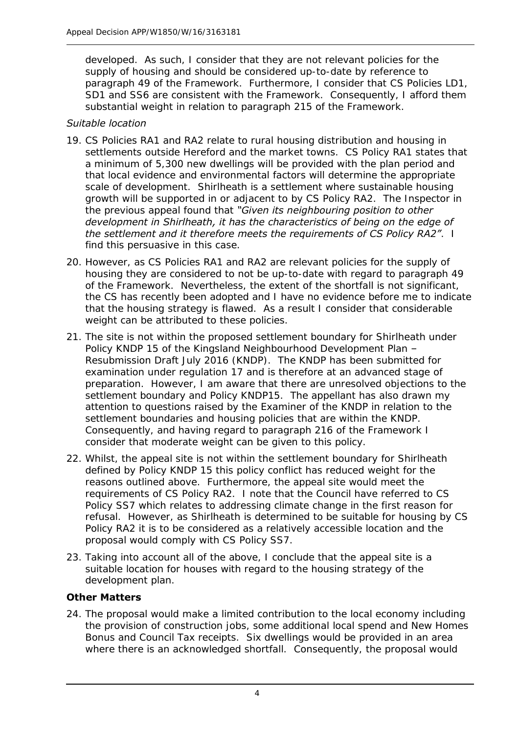developed. As such, I consider that they are not relevant policies for the supply of housing and should be considered up-to-date by reference to SD1 and SS6 are consistent with the Framework. Consequently, I afford them paragraph 49 of the Framework. Furthermore, I consider that CS Policies LD1, substantial weight in relation to paragraph 215 of the Framework.

# *Suitable location*

- 19. CS Policies RA1 and RA2 relate to rural housing distribution and housing in settlements outside Hereford and the market towns. CS Policy RA1 states that a minimum of 5,300 new dwellings will be provided with the plan period and scale of development. Shirlheath is a settlement where sustainable housing growth will be supported in or adjacent to by CS Policy RA2. The Inspector in the previous appeal found that *"Given its neighbouring position to other development in Shirlheath, it has the characteristics of being on the edge of the settlement and it therefore meets the requirements of CS Policy RA2"*. I find this persuasive in this case. that local evidence and environmental factors will determine the appropriate
- find this persuasive in this case. 20. However, as CS Policies RA1 and RA2 are relevant policies for the supply of housing they are considered to not be up-to-date with regard to paragraph 49 of the Framework. Nevertheless, the extent of the shortfall is not significant, that the housing strategy is flawed. As a result I consider that considerable weight can be attributed to these policies. the CS has recently been adopted and I have no evidence before me to indicate
- 21. The site is not within the proposed settlement boundary for Shirlheath under Policy KNDP 15 of the Kingsland Neighbourhood Development Plan – Resubmission Draft July 2016 (KNDP). The KNDP has been submitted for examination under regulation 17 and is therefore at an advanced stage of preparation. However, I am aware that there are unresolved objections to the settlement boundary and Policy KNDP15. The appellant has also drawn my settlement boundaries and housing policies that are within the KNDP. Consequently, and having regard to paragraph 216 of the Framework I consider that moderate weight can be given to this policy. attention to questions raised by the Examiner of the KNDP in relation to the
- 22. Whilst, the appeal site is not within the settlement boundary for Shirlheath defined by Policy KNDP 15 this policy conflict has reduced weight for the reasons outlined above. Furthermore, the appeal site would meet the requirements of CS Policy RA2. I note that the Council have referred to CS Policy SS7 which relates to addressing climate change in the first reason for refusal. However, as Shirlheath is determined to be suitable for housing by CS Policy RA2 it is to be considered as a relatively accessible location and the proposal would comply with CS Policy SS7.
- 23. Taking into account all of the above, I conclude that the appeal site is a suitable location for houses with regard to the housing strategy of the development plan.

# **Other Matters**

 24. The proposal would make a limited contribution to the local economy including the provision of construction jobs, some additional local spend and New Homes Bonus and Council Tax receipts. Six dwellings would be provided in an area where there is an acknowledged shortfall. Consequently, the proposal would